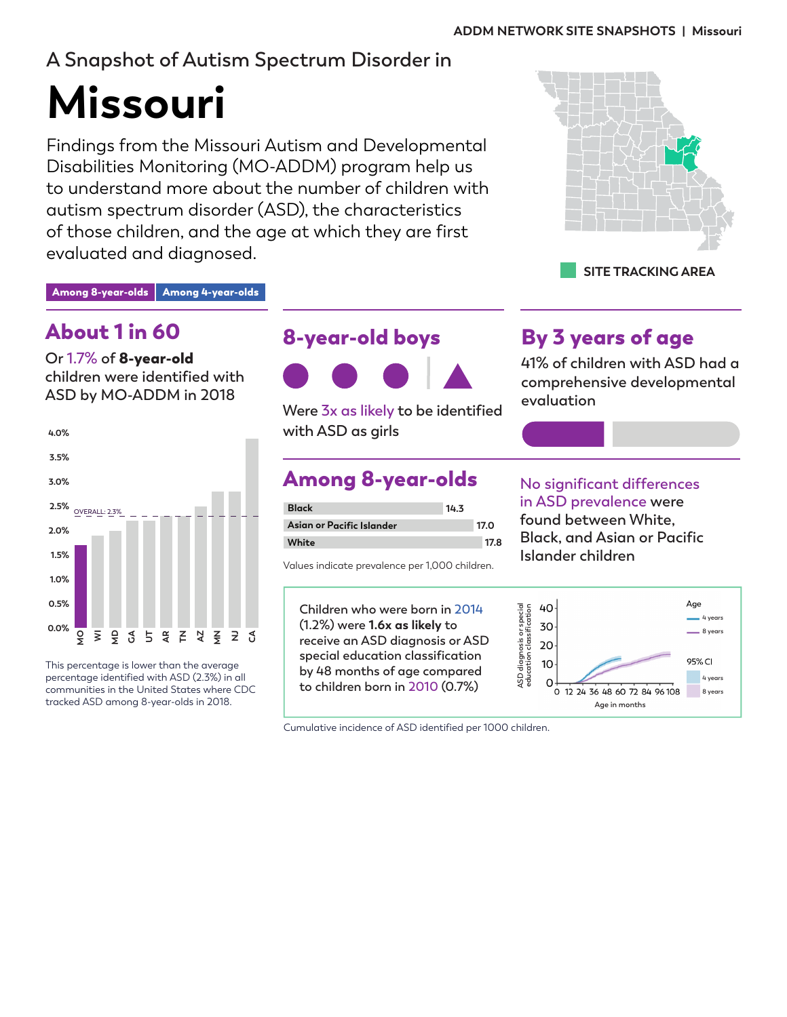## **A Snapshot of Autism Spectrum Disorder in**

# **Missouri**

Findings from the Missouri Autism and Developmental Disabilities Monitoring (MO-ADDM) program help us to understand more about the number of children with autism spectrum disorder (ASD), the characteristics of those children, and the age at which they are first evaluated and diagnosed.



#### Among 8-year-olds Among 4-year-olds

## About 1 in 60

**Or 1.7% of** 8-year-old **children were identified with ASD by MO-ADDM in 2018**



This percentage is lower than the average percentage identified with ASD (2.3%) in all communities in the United States where CDC tracked ASD among 8-year-olds in 2018.

## 8-year-old boys



**Were 3x as likely to be identified with ASD as girls**

## Among 8-year-olds

| <b>Black</b>              | 14.3 |      |
|---------------------------|------|------|
| Asian or Pacific Islander |      | 17.0 |
| White                     |      | 17.8 |

Values indicate prevalence per 1,000 children.

**Children who were born in 2014 (1.2%) were 1.6x as likely to receive an ASD diagnosis or ASD special education classification by 48 months of age compared to children born in 2010 (0.7%)** 

## By 3 years of age

**41% of children with ASD had a comprehensive developmental evaluation**

#### **No significant differences in ASD prevalence were found between White, Black, and Asian or Pacific Islander children**



Cumulative incidence of ASD identified per 1000 children.